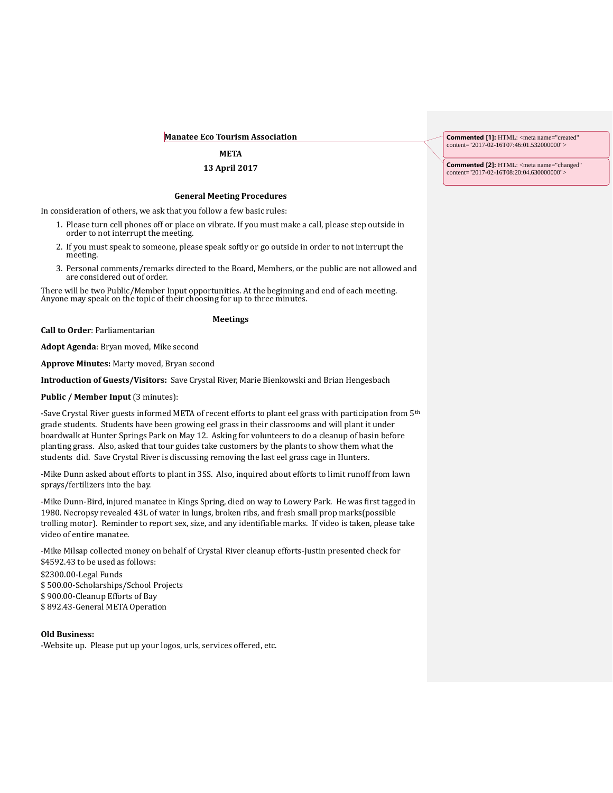#### **Manatee Eco Tourism Association**

### **META**

### **13 April 2017**

#### **General Meeting Procedures**

In consideration of others, we ask that you follow a few basic rules:

- 1. Please turn cell phones off or place on vibrate. If you must make a call, please step outside in order to not interrupt the meeting.
- 2. If you must speak to someone, please speak softly or go outside in order to not interrupt the meeting.
- 3. Personal comments/remarks directed to the Board, Members, or the public are not allowed and are considered out of order.

There will be two Public/Member Input opportunities. At the beginning and end of each meeting. Anyone may speak on the topic of their choosing for up to three minutes.

# **Meetings**

**Call to Order**: Parliamentarian

**Adopt Agenda**: Bryan moved, Mike second

**Approve Minutes:** Marty moved, Bryan second

**Introduction of Guests/Visitors:** Save Crystal River, Marie Bienkowski and Brian Hengesbach

**Public / Member Input (3 minutes):** 

-Save Crystal River guests informed META of recent efforts to plant eel grass with participation from 5th grade students. Students have been growing eel grass in their classrooms and will plant it under boardwalk at Hunter Springs Park on May 12. Asking for volunteers to do a cleanup of basin before planting grass. Also, asked that tour guides take customers by the plants to show them what the students did. Save Crystal River is discussing removing the last eel grass cage in Hunters.

-Mike Dunn asked about efforts to plant in 3SS. Also, inquired about efforts to limit runoff from lawn sprays/fertilizers into the bay.

-Mike Dunn-Bird, injured manatee in Kings Spring, died on way to Lowery Park. He was first tagged in 1980. Necropsy revealed 43L of water in lungs, broken ribs, and fresh small prop marks(possible trolling motor). Reminder to report sex, size, and any identifiable marks. If video is taken, please take video of entire manatee.

-Mike Milsap collected money on behalf of Crystal River cleanup efforts-Justin presented check for \$4592.43 to be used as follows:

\$2300.00-Legal Funds \$ 500.00-Scholarships/School Projects \$ 900.00-Cleanup Efforts of Bay \$ 892.43-General META Operation

**Old Business:**  -Website up. Please put up your logos, urls, services offered, etc. **Commented [1]:** HTML: <meta name="created" content="2017-02-16T07:46:01.532000000">

**Commented [2]:** HTML: <meta name="changed" content="2017-02-16T08:20:04.630000000">